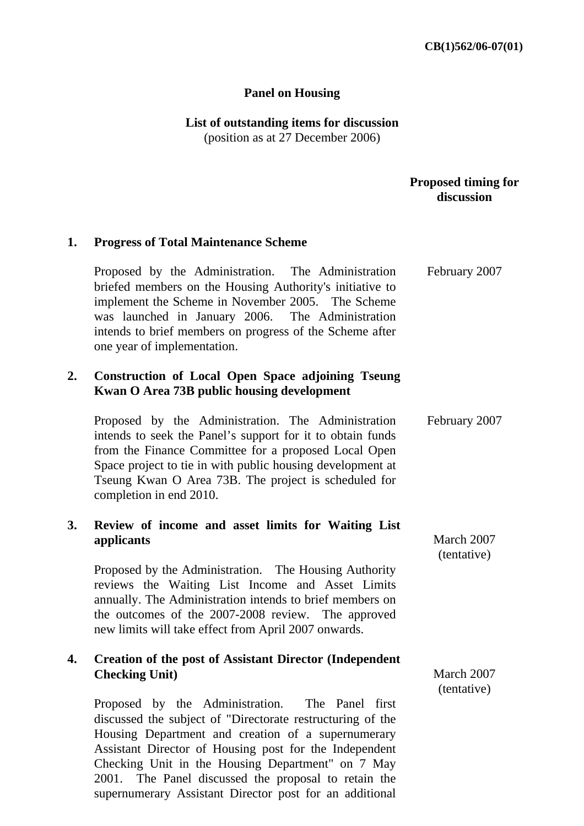#### **Panel on Housing**

**List of outstanding items for discussion**  (position as at 27 December 2006)

#### **Proposed timing for discussion**

# **1. Progress of Total Maintenance Scheme**  Proposed by the Administration. The Administration briefed members on the Housing Authority's initiative to implement the Scheme in November 2005. The Scheme was launched in January 2006. The Administration intends to brief members on progress of the Scheme after one year of implementation. **2. Construction of Local Open Space adjoining Tseung Kwan O Area 73B public housing development**  Proposed by the Administration. The Administration intends to seek the Panel's support for it to obtain funds from the Finance Committee for a proposed Local Open Space project to tie in with public housing development at Tseung Kwan O Area 73B. The project is scheduled for completion in end 2010. **3. Review of income and asset limits for Waiting List applicants**  Proposed by the Administration. The Housing Authority reviews the Waiting List Income and Asset Limits annually. The Administration intends to brief members on the outcomes of the 2007-2008 review. The approved new limits will take effect from April 2007 onwards. **4. Creation of the post of Assistant Director (Independent Checking Unit)**  Proposed by the Administration. The Panel first discussed the subject of "Directorate restructuring of the Housing Department and creation of a supernumerary Assistant Director of Housing post for the Independent Checking Unit in the Housing Department" on 7 May February 2007 February 2007 March 2007 (tentative) March 2007 (tentative)

2001. The Panel discussed the proposal to retain the supernumerary Assistant Director post for an additional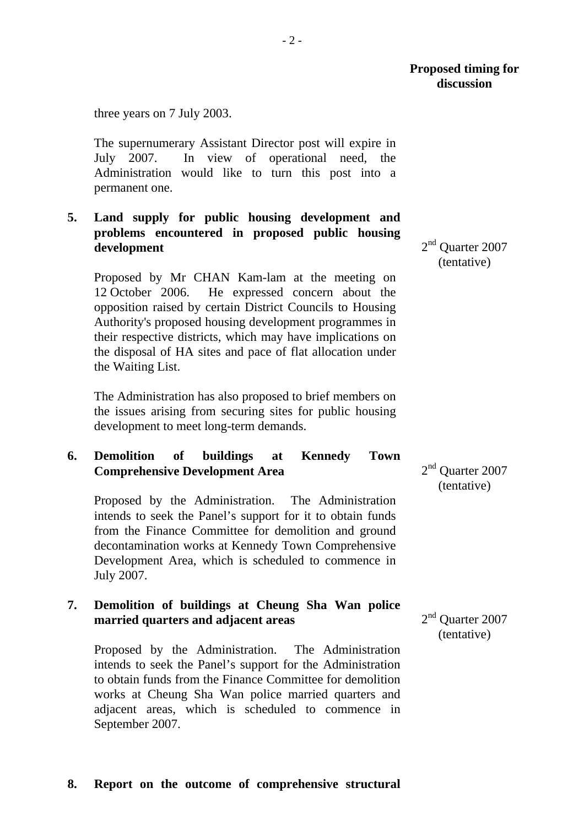three years on 7 July 2003.

The supernumerary Assistant Director post will expire in July 2007. In view of operational need, the Administration would like to turn this post into a permanent one.

## **5. Land supply for public housing development and problems encountered in proposed public housing development**

Proposed by Mr CHAN Kam-lam at the meeting on 12 October 2006. He expressed concern about the opposition raised by certain District Councils to Housing Authority's proposed housing development programmes in their respective districts, which may have implications on the disposal of HA sites and pace of flat allocation under the Waiting List.

The Administration has also proposed to brief members on the issues arising from securing sites for public housing development to meet long-term demands.

## **6. Demolition of buildings at Kennedy Town Comprehensive Development Area**

Proposed by the Administration. The Administration intends to seek the Panel's support for it to obtain funds from the Finance Committee for demolition and ground decontamination works at Kennedy Town Comprehensive Development Area, which is scheduled to commence in July 2007.

## **7. Demolition of buildings at Cheung Sha Wan police married quarters and adjacent areas**

Proposed by the Administration. The Administration intends to seek the Panel's support for the Administration to obtain funds from the Finance Committee for demolition works at Cheung Sha Wan police married quarters and adjacent areas, which is scheduled to commence in September 2007.

2<sup>nd</sup> Ouarter 2007 (tentative)

2<sup>nd</sup> Ouarter 2007 (tentative)

2<sup>nd</sup> Ouarter 2007 (tentative)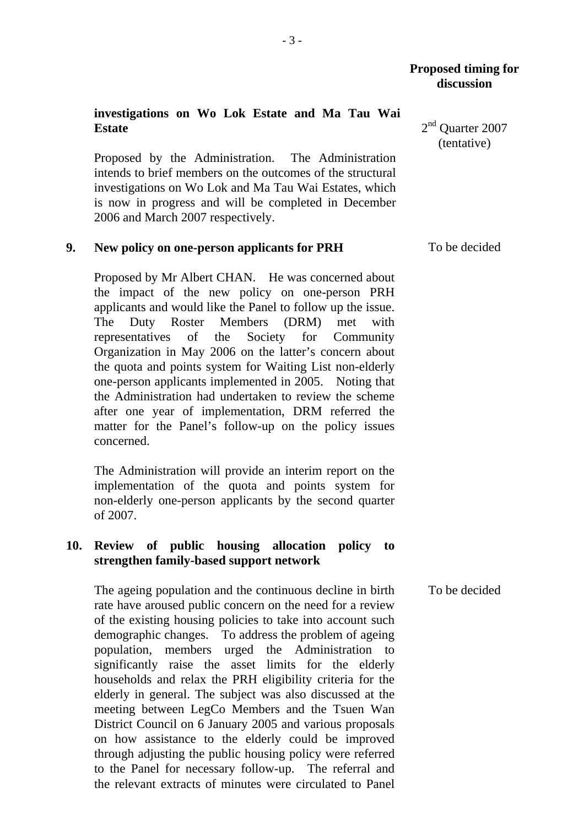### **Proposed timing for discussion**

### **investigations on Wo Lok Estate and Ma Tau Wai Estate**

Proposed by the Administration. The Administration intends to brief members on the outcomes of the structural investigations on Wo Lok and Ma Tau Wai Estates, which is now in progress and will be completed in December 2006 and March 2007 respectively.

#### **9. New policy on one-person applicants for PRH**

Proposed by Mr Albert CHAN. He was concerned about the impact of the new policy on one-person PRH applicants and would like the Panel to follow up the issue. The Duty Roster Members (DRM) met with representatives of the Society for Community Organization in May 2006 on the latter's concern about the quota and points system for Waiting List non-elderly one-person applicants implemented in 2005. Noting that the Administration had undertaken to review the scheme after one year of implementation, DRM referred the matter for the Panel's follow-up on the policy issues concerned.

The Administration will provide an interim report on the implementation of the quota and points system for non-elderly one-person applicants by the second quarter of 2007.

### **10. Review of public housing allocation policy to strengthen family-based support network**

 The ageing population and the continuous decline in birth rate have aroused public concern on the need for a review of the existing housing policies to take into account such demographic changes. To address the problem of ageing population, members urged the Administration to significantly raise the asset limits for the elderly households and relax the PRH eligibility criteria for the elderly in general. The subject was also discussed at the meeting between LegCo Members and the Tsuen Wan District Council on 6 January 2005 and various proposals on how assistance to the elderly could be improved through adjusting the public housing policy were referred to the Panel for necessary follow-up. The referral and the relevant extracts of minutes were circulated to Panel To be decided

2<sup>nd</sup> Ouarter 2007 (tentative)

To be decided